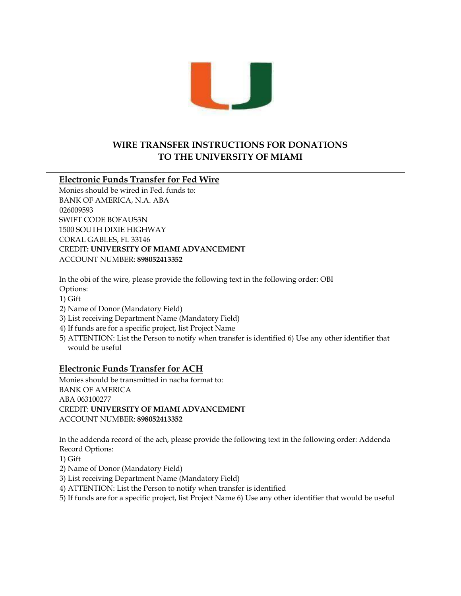

## **WIRE TRANSFER INSTRUCTIONS FOR DONATIONS TO THE UNIVERSITY OF MIAMI**

## **Electronic Funds Transfer for Fed Wire**

Monies should be wired in Fed. funds to: BANK OF AMERICA, N.A. ABA 026009593 SWIFT CODE BOFAUS3N 1500 SOUTH DIXIE HIGHWAY CORAL GABLES, FL 33146 CREDIT**: UNIVERSITY OF MIAMI ADVANCEMENT** ACCOUNT NUMBER: **898052413352** 

In the obi of the wire, please provide the following text in the following order: OBI Options:

1) Gift

- 2) Name of Donor (Mandatory Field)
- 3) List receiving Department Name (Mandatory Field)
- 4) If funds are for a specific project, list Project Name
- 5) ATTENTION: List the Person to notify when transfer is identified 6) Use any other identifier that would be useful

## **Electronic Funds Transfer for ACH**

Monies should be transmitted in nacha format to: BANK OF AMERICA ABA 063100277 CREDIT: **UNIVERSITY OF MIAMI ADVANCEMENT**  ACCOUNT NUMBER: **898052413352**

In the addenda record of the ach, please provide the following text in the following order: Addenda Record Options:

1) Gift

- 2) Name of Donor (Mandatory Field)
- 3) List receiving Department Name (Mandatory Field)
- 4) ATTENTION: List the Person to notify when transfer is identified

5) If funds are for a specific project, list Project Name 6) Use any other identifier that would be useful